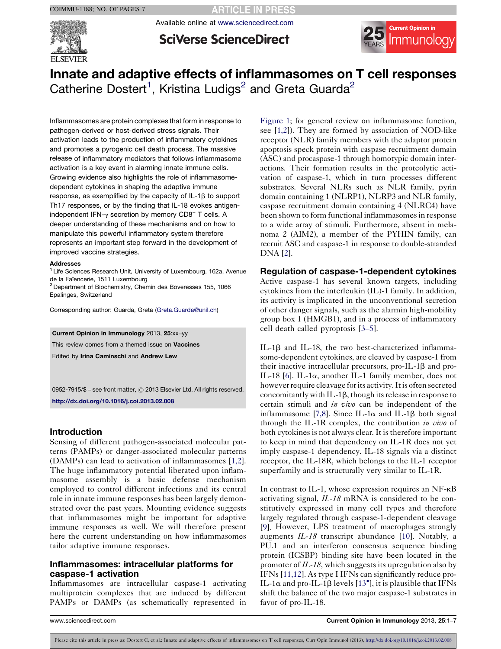

**SciVerse ScienceDirect** 

Available online at [www.sciencedirect.com](http://www.sciencedirect.com/science/journal/09527915)



# Innate and adaptive effects of inflammasomes on T cell responses Catherine Dostert<sup>1</sup>, Kristina Ludigs<sup>2</sup> and Greta Guarda<sup>2</sup>

Inflammasomes are protein complexes that form in response to pathogen-derived or host-derived stress signals. Their activation leads to the production of inflammatory cytokines and promotes a pyrogenic cell death process. The massive release of inflammatory mediators that follows inflammasome activation is a key event in alarming innate immune cells. Growing evidence also highlights the role of inflammasomedependent cytokines in shaping the adaptive immune response, as exemplified by the capacity of  $IL-1\beta$  to support Th17 responses, or by the finding that IL-18 evokes antigenindependent IFN- $\gamma$  secretion by memory CD8<sup>+</sup> T cells. A deeper understanding of these mechanisms and on how to manipulate this powerful inflammatory system therefore represents an important step forward in the development of improved vaccine strategies.

#### Addresses

<sup>1</sup> Life Sciences Research Unit, University of Luxembourg, 162a, Avenue de la Faïencerie, 1511 Luxembourg

<sup>2</sup> Department of Biochemistry, Chemin des Boveresses 155, 1066 Epalinges, Switzerland

Corresponding author: Guarda, Greta ([Greta.Guarda@unil.ch](mailto:Greta.Guarda@unil.ch))

Current Opinion in Immunology 2013, 25:xx–yy

This review comes from a themed issue on Vaccines

Edited by Irina Caminschi and Andrew Lew

0952-7915/\$ – see front matter, @ 2013 Elsevier Ltd. All rights reserved. <http://dx.doi.org/10.1016/j.coi.2013.02.008>

### Introduction

Sensing of different pathogen-associated molecular patterns (PAMPs) or danger-associated molecular patterns (DAMPs) can lead to activation of inflammasomes [[1,2](#page-4-0)]. The huge inflammatory potential liberated upon inflammasome assembly is a basic defense mechanism employed to control different infections and its central role in innate immune responses has been largely demonstrated over the past years. Mounting evidence suggests that inflammasomes might be important for adaptive immune responses as well. We will therefore present here the current understanding on how inflammasomes tailor adaptive immune responses.

# Inflammasomes: intracellular platforms for caspase-1 activation

Inflammasomes are intracellular caspase-1 activating multiprotein complexes that are induced by different PAMPs or DAMPs (as schematically represented in

[Figure](#page-1-0) 1; for general review on inflammasome function, see [[1,2](#page-4-0)]). They are formed by association of NOD-like receptor (NLR) family members with the adaptor protein apoptosis speck protein with caspase recruitment domain (ASC) and procaspase-1 through homotypic domain interactions. Their formation results in the proteolytic activation of caspase-1, which in turn processes different substrates. Several NLRs such as NLR family, pyrin domain containing 1 (NLRP1), NLRP3 and NLR family, caspase recruitment domain containing 4 (NLRC4) have been shown to form functional inflammasomes in response to a wide array of stimuli. Furthermore, absent in melanoma 2 (AIM2), a member of the PYHIN family, can recruit ASC and caspase-1 in response to double-stranded DNA [[2](#page-4-0)].

## Regulation of caspase-1-dependent cytokines

Active caspase-1 has several known targets, including cytokines from the interleukin (IL)-1 family. In addition, its activity is implicated in the unconventional secretion of other danger signals, such as the alarmin high-mobility group box 1 (HMGB1), and in a process of inflammatory cell death called pyroptosis [3–[5\]](#page-4-0).

IL-1 $\beta$  and IL-18, the two best-characterized inflammasome-dependent cytokines, are cleaved by caspase-1 from their inactive intracellular precursors, pro-IL-1 $\beta$  and pro-IL-18 [[6\]](#page-4-0). IL-1 $\alpha$ , another IL-1 family member, does not however require cleavage for its activity. It is often secreted concomitantly with IL-1 $\beta$ , though its release in response to certain stimuli and in vivo can be independent of the inflammasome [\[7,8](#page-4-0)]. Since IL-1 $\alpha$  and IL-1 $\beta$  both signal through the IL-1R complex, the contribution in vivo of both cytokines is not always clear. It is therefore important to keep in mind that dependency on IL-1R does not yet imply caspase-1 dependency. IL-18 signals via a distinct receptor, the IL-18R, which belongs to the IL-1 receptor superfamily and is structurally very similar to IL-1R.

In contrast to IL-1, whose expression requires an NF-kB activating signal, IL-18 mRNA is considered to be constitutively expressed in many cell types and therefore largely regulated through caspase-1-dependent cleavage [[9](#page-4-0)]. However, LPS treatment of macrophages strongly augments  $IL-18$  transcript abundance [\[10](#page-4-0)]. Notably, a PU.1 and an interferon consensus sequence binding protein (ICSBP) binding site have been located in the promoter of IL-18, which suggests its upregulation also by IFNs [\[11,12\]](#page-4-0). As type I IFNs can significantly reduce pro-IL-1 $\alpha$  and pro-IL-1 $\beta$  levels [[13](#page-4-0)<sup>°</sup>], it is plausible that IFNs shift the balance of the two major caspase-1 substrates in favor of pro-IL-18.

www.sciencedirect.com Current Opinion in Immunology 2013, 25:1–7

Please cite this article in press as: Dostert C, et al.: Innate and adaptive effects of inflammasomes on T cell responses, Curr Opin Immunol (2013), <http://dx.doi.org/10.1016/j.coi.2013.02.008>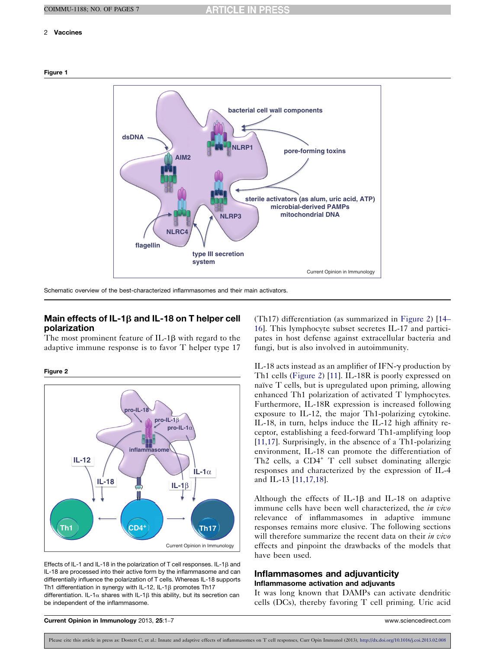# <span id="page-1-0"></span>2 Vaccines





Schematic overview of the best-characterized inflammasomes and their main activators.

# Main effects of IL-1<sub>B</sub> and IL-18 on T helper cell polarization

The most prominent feature of  $IL-1\beta$  with regard to the adaptive immune response is to favor T helper type 17

Figure 2



Effects of IL-1 and IL-18 in the polarization of T cell responses. IL-1 $\beta$  and IL-18 are processed into their active form by the inflammasome and can differentially influence the polarization of T cells. Whereas IL-18 supports Th1 differentiation in synergy with IL-12, IL-1 $\beta$  promotes Th17 differentiation. IL-1 $\alpha$  shares with IL-1 $\beta$  this ability, but its secretion can be independent of the inflammasome.

(Th17) differentiation (as summarized in Figure 2) [\[14](#page-4-0)– [16](#page-4-0)]. This lymphocyte subset secretes IL-17 and participates in host defense against extracellular bacteria and fungi, but is also involved in autoimmunity.

IL-18 acts instead as an amplifier of IFN- $\gamma$  production by Th1 cells (Figure 2) [\[11](#page-4-0)]. IL-18R is poorly expressed on naïve  $T$  cells, but is upregulated upon priming, allowing enhanced Th1 polarization of activated T lymphocytes. Furthermore, IL-18R expression is increased following exposure to IL-12, the major Th1-polarizing cytokine. IL-18, in turn, helps induce the IL-12 high affinity receptor, establishing a feed-forward Th1-amplifying loop [\[11,17\]](#page-4-0). Surprisingly, in the absence of a Th1-polarizing environment, IL-18 can promote the differentiation of Th2 cells, a  $CD4^+$  T cell subset dominating allergic responses and characterized by the expression of IL-4 and IL-13 [[11,17,18\]](#page-4-0).

Although the effects of IL-1 $\beta$  and IL-18 on adaptive immune cells have been well characterized, the *in vivo* relevance of inflammasomes in adaptive immune responses remains more elusive. The following sections will therefore summarize the recent data on their *in vivo* effects and pinpoint the drawbacks of the models that have been used.

# Inflammasomes and adjuvanticity Inflammasome activation and adjuvants

It was long known that DAMPs can activate dendritic cells (DCs), thereby favoring T cell priming. Uric acid

Current Opinion in Immunology 2013, 25:1–7 www.sciencedirect.com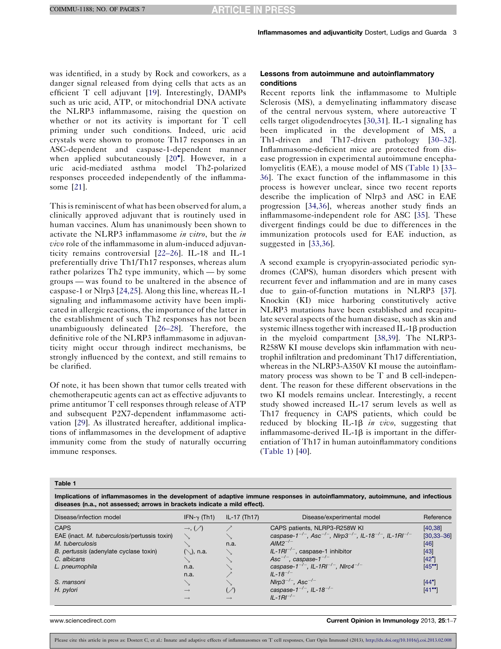<span id="page-2-0"></span>was identified, in a study by Rock and coworkers, as a danger signal released from dying cells that acts as an efficient T cell adjuvant [[19\]](#page-5-0). Interestingly, DAMPs such as uric acid, ATP, or mitochondrial DNA activate the NLRP3 inflammasome, raising the question on whether or not its activity is important for T cell priming under such conditions. Indeed, uric acid crystals were shown to promote Th17 responses in an ASC-dependent and caspase-1-dependent manner when applied subcutaneously [[20](#page-5-0)<sup>°</sup>]. However, in a uric acid-mediated asthma model Th2-polarized responses proceeded independently of the inflammasome [[21\]](#page-5-0).

This is reminiscent of what has been observed for alum, a clinically approved adjuvant that is routinely used in human vaccines. Alum has unanimously been shown to activate the NLRP3 inflammasome in vitro, but the in vivo role of the inflammasome in alum-induced adjuvanticity remains controversial [22–[26](#page-5-0)]. IL-18 and IL-1 preferentially drive Th1/Th17 responses, whereas alum rather polarizes Th2 type immunity, which — by some groups — was found to be unaltered in the absence of caspase-1 or Nlrp3 [[24,25\]](#page-5-0). Along this line, whereas IL-1 signaling and inflammasome activity have been implicated in allergic reactions, the importance of the latter in the establishment of such Th2 responses has not been unambiguously delineated [26–[28](#page-5-0)]. Therefore, the definitive role of the NLRP3 inflammasome in adjuvanticity might occur through indirect mechanisms, be strongly influenced by the context, and still remains to be clarified.

Of note, it has been shown that tumor cells treated with chemotherapeutic agents can act as effective adjuvants to prime antitumor T cell responses through release of ATP and subsequent P2X7-dependent inflammasome activation [\[29](#page-5-0)]. As illustrated hereafter, additional implications of inflammasomes in the development of adaptive immunity come from the study of naturally occurring immune responses.

### Lessons from autoimmune and autoinflammatory conditions

Recent reports link the inflammasome to Multiple Sclerosis (MS), a demyelinating inflammatory disease of the central nervous system, where autoreactive T cells target oligodendrocytes [\[30,31](#page-5-0)]. IL-1 signaling has been implicated in the development of MS, a Th1-driven and Th17-driven pathology [[30](#page-5-0)–32]. Inflammasome-deficient mice are protected from disease progression in experimental autoimmune encephalomyelitis (EAE), a mouse model of MS (Table 1) [\[33](#page-5-0)– [36](#page-5-0)]. The exact function of the inflammasome in this process is however unclear, since two recent reports describe the implication of Nlrp3 and ASC in EAE progression [[34,36\]](#page-5-0), whereas another study finds an inflammasome-independent role for ASC [[35](#page-5-0)]. These divergent findings could be due to differences in the immunization protocols used for EAE induction, as suggested in [[33,36\]](#page-5-0).

A second example is cryopyrin-associated periodic syndromes (CAPS), human disorders which present with recurrent fever and inflammation and are in many cases due to gain-of-function mutations in NLRP3 [[37\]](#page-5-0). Knockin (KI) mice harboring constitutively active NLRP3 mutations have been established and recapitulate several aspects of the human disease, such as skin and systemic illness together with increased IL-1 $\beta$  production in the myeloid compartment [\[38,39\]](#page-5-0). The NLRP3- R258W KI mouse develops skin inflammation with neutrophil infiltration and predominant Th17 differentiation, whereas in the NLRP3-A350V KI mouse the autoinflammatory process was shown to be T and B cell-independent. The reason for these different observations in the two KI models remains unclear. Interestingly, a recent study showed increased IL-17 serum levels as well as Th17 frequency in CAPS patients, which could be reduced by blocking IL-1 $\beta$  in vivo, suggesting that inflammasome-derived  $IL-1\beta$  is important in the differentiation of Th17 in human autoinflammatory conditions (Table 1) [\[40](#page-5-0)].

Table 1

Implications of inflammasomes in the development of adaptive immune responses in autoinflammatory, autoimmune, and infectious diseases (n.a., not assessed; arrows in brackets indicate a mild effect).

| Disease/infection model                      | IFN- $\gamma$ (Th1)       | IL-17 (Th17)             | Disease/experimental model                                                                                          | Reference            |
|----------------------------------------------|---------------------------|--------------------------|---------------------------------------------------------------------------------------------------------------------|----------------------|
| <b>CAPS</b>                                  | $\rightarrow, (\nearrow)$ |                          | CAPS patients, NLRP3-R258W KI                                                                                       | [40, 38]             |
| EAE (inact. M. tuberculosis/pertussis toxin) |                           |                          | caspase-1 <sup>-/-</sup> , Asc <sup>-/-</sup> , Nlrp3 <sup>-/-</sup> , IL-18 <sup>-/-</sup> , IL-1Rl <sup>-/-</sup> | $[30, 33 - 36]$      |
| M. tuberculosis                              |                           | n.a.                     | $AlM2^{-/-}$                                                                                                        | $[46]$               |
| B. pertussis (adenylate cyclase toxin)       | (∖), n.a.                 |                          | $IL-1RI^{-/-}$ , caspase-1 inhibitor                                                                                | $[43]$               |
| C. albicans                                  |                           |                          | Asc <sup><math>-/-</math></sup> , caspase-1 <sup>-/-</sup>                                                          | $[42^{\circ}]$       |
| L. pneumophila                               | n.a.                      |                          | caspase-1 <sup>-/-</sup> , IL-1RI <sup>-/-</sup> , NIrc4 <sup>-/-</sup>                                             | $[45$ <sup>*</sup> ] |
|                                              | n.a.                      |                          | $II - 18^{-/-}$                                                                                                     |                      |
| S. mansoni                                   |                           |                          | Nlrp3 <sup>-/-</sup> , Asc <sup>-/-</sup>                                                                           | $[44^{\circ}]$       |
| H. pylori                                    | $\longrightarrow$         | $(\nearrow)$             | caspase- $1^{-/-}$ , IL-18 <sup>-/-</sup>                                                                           | $[41$ <sup>*</sup>   |
|                                              | —                         | $\overline{\phantom{0}}$ | $IL - 1RI^{-/-}$                                                                                                    |                      |

www.sciencedirect.com **Current Opinion in Immunology** 2013, 25:1–7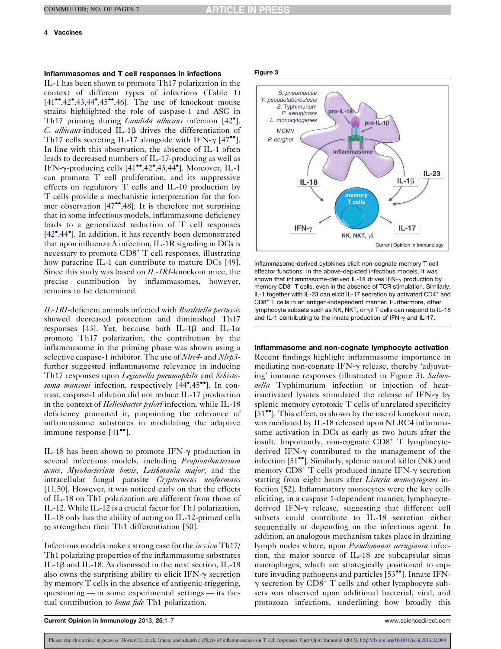### 4 Vaccines

# Inflammasomes and T cell responses in infections

IL-1 has been shown to promote Th17 polarization in the context of different types of infections ([Table](#page-2-0) 1) [\[41](#page-5-0)<sup>\*</sup>[,42](#page-5-0)<sup>\*</sup>[,43,44](#page-5-0)<sup>\*</sup>[,45](#page-5-0)<sup>\*\*</sup>[,46\]](#page-5-0). The use of knockout mouse strains highlighted the role of caspase-1 and ASC in Th17 priming during *Candida albicans* infection [[42](#page-5-0)°].  $C.$  albicans-induced IL-1 $\beta$  drives the differentiation of Th17 cells secreting IL-17 alongside with IFN- $\gamma$  [[47](#page-6-0)<sup>\*\*</sup>]. In line with this observation, the absence of IL-1 often leads to decreased numbers of IL-17-producing as well as IFN- $\gamma$ -producing cells [\[41](#page-5-0)<sup>\*\*</sup>[,42](#page-5-0)<sup>\*</sup>[,43,44](#page-5-0)<sup>\*</sup>]. Moreover, IL-1 can promote T cell proliferation, and its suppressive effects on regulatory T cells and IL-10 production by T cells provide a mechanistic interpretation for the for-mer observation [[47](#page-6-0)\*[,48](#page-6-0)]. It is therefore not surprising that in some infectious models, inflammasome deficiency leads to a generalized reduction of T cell responses [\[42](#page-5-0)<sup>\*</sup>[,44](#page-5-0)<sup>\*</sup>]. In addition, it has recently been demonstrated that upon influenza A infection, IL-1R signaling in DCs is necessary to promote CD8<sup>+</sup> T cell responses, illustrating how paracrine IL-1 can contribute to mature DCs [\[49](#page-6-0)]. Since this study was based on IL-1RI-knockout mice, the precise contribution by inflammasomes, however, remains to be determined.

IL-1RI-deficient animals infected with Bordetella pertussis showed decreased protection and diminished Th17 responses [\[43](#page-5-0)]. Yet, because both IL-1 $\beta$  and IL-1 $\alpha$ promote Th17 polarization, the contribution by the inflammasome in the priming phase was shown using a selective caspase-1 inhibitor. The use of *Nlrc4*- and *Nlrp3*further suggested inflammasome relevance in inducing Th17 responses upon *Legionella pneumophila* and *Schisto-*soma mansoni infection, respectively [\[44](#page-5-0)°[,45](#page-5-0)<sup>••</sup>]. In contrast, caspase-1 ablation did not reduce IL-17 production in the context of *Helicobacter pylori* infection, while IL-18 deficiency promoted it, pinpointing the relevance of inflammasome substrates in modulating the adaptive immune response [\[41](#page-5-0)<sup>••</sup>].

IL-18 has been shown to promote IFN- $\gamma$  production in several infectious models, including *Propionibacterium* acnes, Mycobacterium bovis, Leishmania major, and the intracellular fungal parasite Cryptococcus neoformans [\[11,50\]](#page-4-0). However, it was noticed early on that the effects of IL-18 on Th1 polarization are different from those of IL-12. While IL-12 is a crucial factor for Th1 polarization, IL-18 only has the ability of acting on IL-12-primed cells to strengthen their Th1 differentiation [[50\]](#page-6-0).

Infectious models make a strong case for the in vivo Th17/ Th1 polarizing properties of the inflammasome substrates IL-1 $\beta$  and IL-18. As discussed in the next section, IL-18 also owns the surprising ability to elicit IFN- $\gamma$  secretion by memory T cells in the absence of antigenic-triggering, questioning — in some experimental settings — its factual contribution to *bona fide* Th1 polarization.

#### Figure 3



Inflammasome-derived cytokines elicit non-cognate memory T cell effector functions. In the above-depicted infectious models, it was shown that inflammasome-derived IL-18 drives IFN- $\gamma$  production by memory CD8<sup>+</sup> T cells, even in the absence of TCR stimulation. Similarly, IL-1 together with IL-23 can elicit IL-17 secretion by activated CD4<sup>+</sup> and CD8<sup>+</sup> T cells in an antigen-independent manner. Furthermore, other lymphocyte subsets such as NK, NKT, or  $\gamma\delta$  T cells can respond to IL-18 and IL-1 contributing to the innate production of IFN- $\gamma$  and IL-17.

#### Inflammasome and non-cognate lymphocyte activation

Recent findings highlight inflammasome importance in mediating non-cognate IFN- $\gamma$  release, thereby 'adjuvating' immune responses (illustrated in Figure 3). Salmonella Typhimurium infection or injection of heatinactivated lysates stimulated the release of IFN- $\gamma$  by splenic memory cytotoxic T cells of unrelated specificity [\[51](#page-6-0)<sup>••</sup>]. This effect, as shown by the use of knockout mice, was mediated by IL-18 released upon NLRC4 inflammasome activation in DCs as early as two hours after the insult. Importantly, non-cognate CD8<sup>+</sup> T lymphocytederived IFN- $\gamma$  contributed to the management of the infection [[51](#page-6-0)\*]. Similarly, splenic natural killer (NK) and memory  $CDS^+$  T cells produced innate IFN- $\gamma$  secretion starting from eight hours after *Listeria monocytogenes* infection [[52\]](#page-6-0). Inflammatory monocytes were the key cells eliciting, in a caspase 1-dependent manner, lymphocytederived IFN-g release, suggesting that different cell subsets could contribute to IL-18 secretion either sequentially or depending on the infectious agent. In addition, an analogous mechanism takes place in draining lymph nodes where, upon Pseudomonas aeruginosa infection, the major source of IL-18 are subcapsular sinus macrophages, which are strategically positioned to cap-ture invading pathogens and particles [[53](#page-6-0)\*\*]. Innate IFN- $\gamma$  secretion by CD8<sup>+</sup> T cells and other lymphocyte subsets was observed upon additional bacterial, viral, and protozoan infections, underlining how broadly this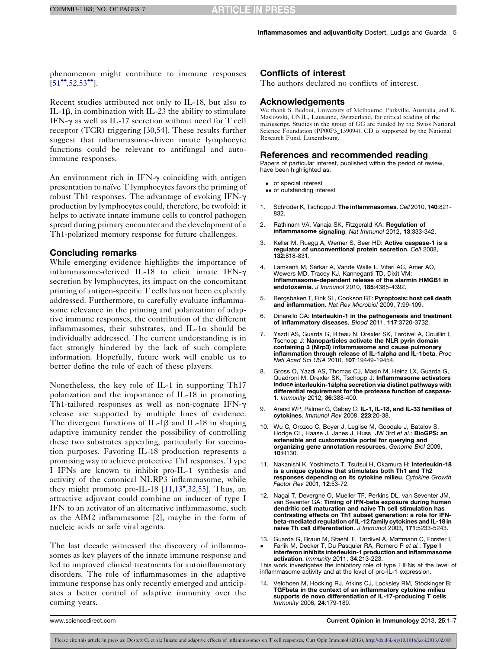<span id="page-4-0"></span>phenomenon might contribute to immune responses  $[51$ <sup>\*</sup>[,52,53](#page-6-0)<sup>\*</sup><sup>\*</sup>].

Recent studies attributed not only to IL-18, but also to IL-1 $\beta$ , in combination with IL-23 the ability to stimulate IFN- $\gamma$  as well as IL-17 secretion without need for T cell receptor (TCR) triggering [[30,54](#page-5-0)]. These results further suggest that inflammasome-driven innate lymphocyte functions could be relevant to antifungal and autoimmune responses.

An environment rich in  $IFN-\gamma$  coinciding with antigen presentation to naïve T lymphocytes favors the priming of robust Th1 responses. The advantage of evoking IFN- $\gamma$ production by lymphocytes could, therefore, be twofold: it helps to activate innate immune cells to control pathogen spread during primary encounter and the development of a Th1-polarized memory response for future challenges.

# Concluding remarks

While emerging evidence highlights the importance of inflammasome-derived IL-18 to elicit innate IFN-g secretion by lymphocytes, its impact on the concomitant priming of antigen-specific T cells has not been explicitly addressed. Furthermore, to carefully evaluate inflammasome relevance in the priming and polarization of adaptive immune responses, the contribution of the different inflammasomes, their substrates, and IL-1 $\alpha$  should be individually addressed. The current understanding is in fact strongly hindered by the lack of such complete information. Hopefully, future work will enable us to better define the role of each of these players.

Nonetheless, the key role of IL-1 in supporting Th17 polarization and the importance of IL-18 in promoting Th1-tailored responses as well as non-cognate IFN- $\gamma$ release are supported by multiple lines of evidence. The divergent functions of IL-1 $\beta$  and IL-18 in shaping adaptive immunity render the possibility of controlling these two substrates appealing, particularly for vaccination purposes. Favoring IL-18 production represents a promising way to achieve protective Th1 responses. Type I IFNs are known to inhibit pro-IL-1 synthesis and activity of the canonical NLRP3 inflammasome, while they might promote pro-IL-18  $[11, 13^\bullet, 32, 55]$ . Thus, an attractive adjuvant could combine an inducer of type I IFN to an activator of an alternative inflammasome, such as the AIM2 inflammasome [2], maybe in the form of nucleic acids or safe viral agents.

The last decade witnessed the discovery of inflammasomes as key players of the innate immune response and led to improved clinical treatments for autoinflammatory disorders. The role of inflammasomes in the adaptive immune response has only recently emerged and anticipates a better control of adaptive immunity over the coming years.

# Conflicts of interest

The authors declared no conflicts of interest.

#### Acknowledgements

We thank S. Bedoui, University of Melbourne, Parkville, Australia, and K. Maslowski, UNIL, Lausanne, Switzerland, for critical reading of the manuscript. Studies in the group of GG are funded by the Swiss National Science Foundation (PP00P3\_139094). CD is supported by the National Research Fund, Luxembourg.

### References and recommended reading

Papers of particular interest, published within the period of review, have been highlighted as:

- of special interest
- •• of outstanding interest
- 1. Schroder K, Tschopp J: The inflammasomes. Cell 2010, 140:821- 832.
- 2. Rathinam VA, Vanaja SK, Fitzgerald KA: Regulation of inflammasome signaling. Nat Immunol 2012, 13:333-342.
- 3. Keller M, Ruegg A, Werner S, Beer HD: Active caspase-1 is a regulator of unconventional protein secretion. Cell 2008, 132:818-831.
- 4. Lamkanfi M, Sarkar A, Vande Walle L, Vitari AC, Amer AO, Wewers MD, Tracey KJ, Kanneganti TD, Dixit VM: Inflammasome-dependent release of the alarmin HMGB1 in endotoxemia. J Immunol 2010, 185:4385-4392.
- 5. Bergsbaken T, Fink SL, Cookson BT: Pyroptosis: host cell death and inflammation. Nat Rev Microbiol 2009, 7:99-109.
- 6. Dinarello CA: Interleukin-1 in the pathogenesis and treatment of inflammatory diseases. Blood 2011, 117:3720-3732.
- 7. Yazdi AS, Guarda G, Riteau N, Drexler SK, Tardivel A, Couillin I,<br>Tschopp J: **Nanoparticles activate the NLR pyrin domain** containing 3 (Nlrp3) inflammasome and cause pulmonary inflammation through release of IL-1alpha and IL-1beta. Proc Natl Acad Sci USA 2010, 107:19449-19454.
- Gross O, Yazdi AS, Thomas CJ, Masin M, Heinz LX, Guarda G, Quadroni M, Drexler SK, Tschopp J: Inflammasome activators induce interleukin-1alpha secretion via distinct pathways with differential requirement for the protease function of caspase-1. Immunity 2012, 36:388-400.
- 9. Arend WP, Palmer G, Gabay C: IL-1, IL-18, and IL-33 families of cytokines. Immunol Rev 2008, 223:20-38.
- 10. Wu C, Orozco C, Boyer J, Leglise M, Goodale J, Batalov S, Hodge CL, Haase J, Janes J, Huss JW 3rd et al.: BioGPS: an extensible and customizable portal for querying and organizing gene annotation resources. Genome Biol 2009, 10:R130.
- 11. Nakanishi K, Yoshimoto T, Tsutsui H, Okamura H: Interleukin-18 is a unique cytokine that stimulates both Th1 and Th2 **responses depending on its cytokine milieu**. Cytokine Growth<br>Factor Rev 2001, **12**:53-72.
- 12. Nagai T, Devergne O, Mueller TF, Perkins DL, van Seventer JM, van Seventer GA: Timing of IFN-beta exposure during human dendritic cell maturation and naive Th cell stimulation has contrasting effects on Th1 subset generation: a role for IFNbeta-mediated regulation of IL-12 family cytokines and IL-18 in naive Th cell differentiation. J Immunol 2003, 171:5233-5243.
- 13. Guarda G, Braun M, Staehli F, Tardivel A, Mattmann C, Forster I, -Farlik M, Decker T, Du Pasquier RA, Romero P et al.: Type I interferon inhibits interleukin-1 production and inflammasome activation. Immunity 2011, 34:213-223.

This work investigates the inhibitory role of type I IFNs at the level of inflammasome activity and at the level of pro-IL-1 expression.

Veldhoen M, Hocking RJ, Atkins CJ, Locksley RM, Stockinger B: TGFbeta in the context of an inflammatory cytokine milieu supports de novo differentiation of IL-17-producing T cells. Immunity 2006, 24:179-189.

www.sciencedirect.com Current Opinion in Immunology 2013, 25:1–7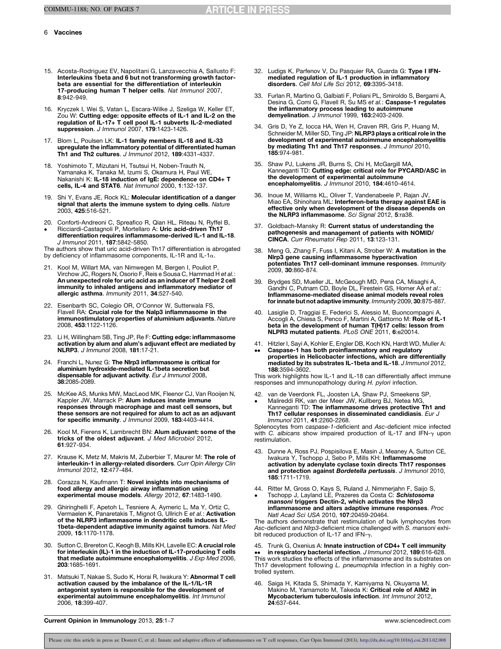### <span id="page-5-0"></span>6 Vaccines

- 15. Acosta-Rodriguez EV, Napolitani G, Lanzavecchia A, Sallusto F: Interleukins 1beta and 6 but not transforming growth factorbeta are essential for the differentiation of interleukin 17-producing human T helper cells. Nat Immunol 2007, 8:942-949.
- 16. Kryczek I, Wei S, Vatan L, Escara-Wilke J, Szeliga W, Keller ET, Zou W: Cutting edge: opposite effects of IL-1 and IL-2 on the regulation of IL-17+ T cell pool IL-1 subverts IL-2-mediated suppression. J Immunol 2007, 179:1423-1426.
- 17. Blom L, Poulsen LK: IL-1 family members IL-18 and IL-33 upregulate the inflammatory potential of differentiated human Th1 and Th2 cultures. J Immunol 2012, 189:4331-4337.
- 18. Yoshimoto T, Mizutani H, Tsutsui H, Noben-Trauth N, Yamanaka K, Tanaka M, Izumi S, Okamura H, Paul WE, Nakanishi K: IL-18 induction of IgE: dependence on CD4+ T cells, IL-4 and STAT6. Nat Immunol 2000, 1:132-137.
- 19. Shi Y, Evans JE, Rock KL: Molecular identification of a danger signal that alerts the immune system to dying cells. Nature 2003, 425:516-521.
- 20. Conforti-Andreoni C, Spreafico R, Qian HL, Riteau N, Ryffel B,
- $\bullet$ Ricciardi-Castagnoli P, Mortellaro A: Uric acid-driven Th17 differentiation requires inflammasome-derived IL-1 and IL-18. J Immunol 2011, 187:5842-5850.

The authors show that uric acid-driven Th17 differentiation is abrogated by deficiency of inflammasome components, IL-1R and IL-1 $\alpha$ .

- 21. Kool M, Willart MA, van Nimwegen M, Bergen I, Pouliot P, Virchow JC, Rogers N, Osorio F, Reis e Sousa C, Hammad H et al.: An unexpected role for uric acid as an inducer of T helper 2 cell immunity to inhaled antigens and inflammatory mediator of allergic asthma. Immunity 2011, 34:527-540.
- 22. Eisenbarth SC, Colegio OR, O'Connor W, Sutterwala FS, Flavell RA: Crucial role for the Nalp3 inflammasome in the immunostimulatory properties of aluminium adjuvants. Nature 2008, 453:1122-1126.
- 23. Li H, Willingham SB, Ting JP, Re F: Cutting edge: inflammasome activation by alum and alum's adjuvant effect are mediated by NLRP3. J Immunol 2008, 181:17-21.
- 24. Franchi L, Nunez G: The Nlrp3 inflammasome is critical for aluminium hydroxide-mediated IL-1beta secretion but dispensable for adjuvant activity. Eur J Immunol 2008, 38:2085-2089.
- 25. McKee AS, Munks MW, MacLeod MK, Fleenor CJ, Van Rooijen N, Kappler JW, Marrack P: Alum induces innate immune responses through macrophage and mast cell sensors, but these sensors are not required for alum to act as an adjuvant for specific immunity. J Immunol 2009, 183:4403-4414.
- 26. Kool M, Fierens K, Lambrecht BN: Alum adjuvant: some of the tricks of the oldest adjuvant. J Med Microbiol 2012, 61:927-934.
- 27. Krause K, Metz M, Makris M, Zuberbier T, Maurer M: The role of **interleukin-1 in allergy-related disorders**. Curr Opin Allergy Clin<br>Immunol 2012, **12**:477-484.
- 28. Corazza N, Kaufmann T: Novel insights into mechanisms of food allergy and allergic airway inflammation using experimental mouse models. Allergy 2012, 67:1483-1490.
- 29. Ghiringhelli F, Apetoh L, Tesniere A, Aymeric L, Ma Y, Ortiz C,<br>Vermaelen K, Panaretakis T, Mignot G, Ullrich E e*t al.*: **Activation** of the NLRP3 inflammasome in dendritic cells induces IL-1beta-dependent adaptive immunity against tumors. Nat Med 2009, 15:1170-1178.
- 30. Sutton C, Brereton C, Keogh B, Mills KH, Lavelle EC: A crucial role for interleukin (IL)-1 in the induction of IL-17-producing T cells that mediate autoimmune encephalomyelitis. J Exp Med 2006, 203:1685-1691.
- 31. Matsuki T, Nakae S, Sudo K, Horai R, Iwakura Y: Abnormal T cell activation caused by the imbalance of the IL-1/IL-1R antagonist system is responsible for the development of experimental autoimmune encephalomyelitis. Int Immunol 2006, 18:399-407.
- 32. Ludigs K, Parfenov V, Du Pasquier RA, Guarda G: Type I IFNmediated regulation of IL-1 production in inflammatory disorders. Cell Mol Life Sci 2012, 69:3395-3418.
- 33. Furlan R, Martino G, Galbiati F, Poliani PL, Smiroldo S, Bergami A,<br>Desina G, Comi G, Flavell R, Su MS e*t al.*: **Caspase-1 regulates** the inflammatory process leading to autoimmune demyelination. J Immunol 1999, 163:2403-2409.
- 34. Gris D, Ye Z, Iocca HA, Wen H, Craven RR, Gris P, Huang M, Schneider M, Miller SD, Ting JP: NLRP3 plays a critical role in the development of experimental autoimmune encephalomyelitis by mediating Th1 and Th17 responses. J Immunol 2010, 185:974-981.
- 35. Shaw PJ, Lukens JR, Burns S, Chi H, McGargill MA, Kanneganti TD: Cutting edge: critical role for PYCARD/ASC in the development of experimental autoimmune encephalomyelitis. J Immunol 2010, 184:4610-4614.
- 36. Inoue M, Williams KL, Oliver T, Vandenabeele P, Rajan JV, Miao EA, Shinohara ML: Interferon-beta therapy against EAE is effective only when development of the disease depends on the NLRP3 inflammasome. Sci Signal 2012, 5:ra38.
- 37. Goldbach-Mansky R: Current status of understanding the pathogenesis and management of patients with NOMID/ CINCA. Curr Rheumatol Rep 2011, 13:123-131.
- 38. Meng G, Zhang F, Fuss I, Kitani A, Strober W: A mutation in the Nlrp3 gene causing inflammasome hyperactivation potentiates Th17 cell-dominant immune responses. Immunity 2009, 30:860-874.
- 39. Brydges SD, Mueller JL, McGeough MD, Pena CA, Misaghi A, Gandhi C, Putnam CD, Boyle DL, Firestein GS, Horner AA et al.: Inflammasome-mediated disease animal models reveal roles for innate but not adaptive immunity. Immunity 2009, 30:875-887.
- 40. Lasiglie D, Traggiai E, Federici S, Alessio M, Buoncompagni A,<br>Accogli A, Chiesa S, Penco F, Martini A, Gattorno M: **Role of IL-1**<br>**beta in the development of human T(H)17 cells: lesson from** NLPR3 mutated patients. PLoS ONE 2011, 6:e20014.
- 41. Hitzler I, Sayi A, Kohler E, Engler DB, Koch KN, Hardt WD, Muller A:
- --Caspase-1 has both proinflammatory and regulatory properties in Helicobacter infections, which are differentially mediated by its substrates IL-1beta and IL-18. J Immunol 2012, 188:3594-3602.

This work highlights how IL-1 and IL-18 can differentially affect immune responses and immunopathology during H. pylori infection.

- 42. van de Veerdonk FL, Joosten LA, Shaw PJ, Smeekens SP, Malireddi RK, van der Meer JW, Kullberg BJ, Netea MG,
- -Kanneganti TD: The inflammasome drives protective Th1 and Th17 cellular responses in disseminated candidiasis. Eur J Immunol 2011, 41:2260-2268.

Splenocytes from caspase-1-deficient and Asc-deficient mice infected with C. albicans show impaired production of IL-17 and IFN- $\gamma$  upon restimulation.

- 43. Dunne A, Ross PJ, Pospisilova E, Masin J, Meaney A, Sutton CE, Iwakura Y, Tschopp J, Sebo P, Mills KH: Inflammasome activation by adenylate cyclase toxin directs Th17 responses and protection against Bordetella pertussis. J Immunol 2010, 185:1711-1719.
- 44. Ritter M, Gross O, Kays S, Ruland J, Nimmerjahn F, Saijo S, -Tschopp J, Layland LE, Prazeres da Costa C: Schistosoma mansoni triggers Dectin-2, which activates the Nlrp3 inflammasome and alters adaptive immune responses. Proc Natl Acad Sci USA 2010, 107:20459-20464.

The authors demonstrate that restimulation of bulk lymphocytes from Asc-deficient and Nlrp3-deficient mice challenged with S. mansoni exhibit reduced production of IL-17 and IFN- $\gamma$ .

45. Trunk G, Oxenius A: Innate instruction of CD4+ T cell immunity -in respiratory bacterial infection. J Immunol 2012, 189:616-628. This work studies the effects of the inflammasome and its substrates on Th17 development following L. pneumophila infection in a highly controlled system.

46. Saiga H, Kitada S, Shimada Y, Kamiyama N, Okuyama M, Makino M, Yamamoto M, Takeda K: Critical role of AIM2 in Mycobacterium tuberculosis infection. Int Immunol 2012, 24:637-644.

Current Opinion in Immunology 2013, 25:1–7 www.sciencedirect.com

Please cite this article in press as: Dostert C, et al.: Innate and adaptive effects of inflammasomes on T cell responses, Curr Opin Immunol (2013), <http://dx.doi.org/10.1016/j.coi.2013.02.008>